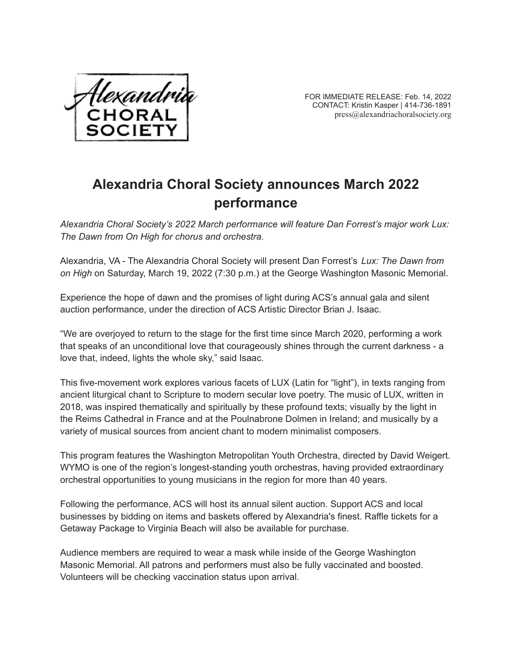

FOR IMMEDIATE RELEASE: Feb. 14, 2022 CONTACT: Kristin Kasper | 414-736-1891 press@alexandriachoralsociety.org

## **Alexandria Choral Society announces March 2022 performance**

*Alexandria Choral Society's 2022 March performance will feature Dan Forrest's major work Lux: The Dawn from On High for chorus and orchestra.*

Alexandria, VA - The Alexandria Choral Society will present Dan Forrest's *Lux: The Dawn from on High* on Saturday, March 19, 2022 (7:30 p.m.) at the George Washington Masonic Memorial.

Experience the hope of dawn and the promises of light during ACS's annual gala and silent auction performance, under the direction of ACS Artistic Director Brian J. Isaac.

"We are overjoyed to return to the stage for the first time since March 2020, performing a work that speaks of an unconditional love that courageously shines through the current darkness - a love that, indeed, lights the whole sky," said Isaac.

This five-movement work explores various facets of LUX (Latin for "light"), in texts ranging from ancient liturgical chant to Scripture to modern secular love poetry. The music of LUX, written in 2018, was inspired thematically and spiritually by these profound texts; visually by the light in the Reims Cathedral in France and at the Poulnabrone Dolmen in Ireland; and musically by a variety of musical sources from ancient chant to modern minimalist composers.

This program features the Washington Metropolitan Youth Orchestra, directed by David Weigert. WYMO is one of the region's longest-standing youth orchestras, having provided extraordinary orchestral opportunities to young musicians in the region for more than 40 years.

Following the performance, ACS will host its annual silent auction. Support ACS and local businesses by bidding on items and baskets offered by Alexandria's finest. Raffle tickets for a Getaway Package to Virginia Beach will also be available for purchase.

Audience members are required to wear a mask while inside of the George Washington Masonic Memorial. All patrons and performers must also be fully vaccinated and boosted. Volunteers will be checking vaccination status upon arrival.